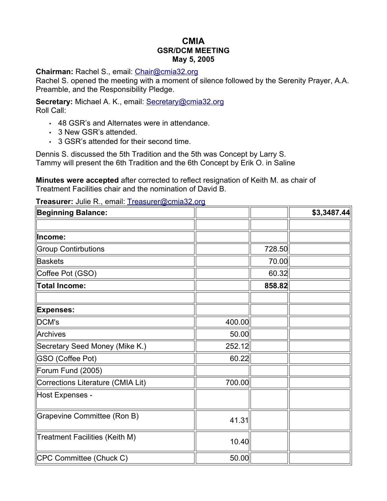# **CMIA GSR/DCM MEETING May 5, 2005**

#### **Chairman:** Rachel S., email: [Chair@cmia32.org](mailto:Chair@cmia32.org)

Rachel S. opened the meeting with a moment of silence followed by the Serenity Prayer, A.A. Preamble, and the Responsibility Pledge.

**Secretary:** Michael A. K., email: [Secretary@cmia32.org](mailto:Secretary@cmia32.org) Roll Call:

- 48 GSR's and Alternates were in attendance.
- 3 New GSR's attended.
- 3 GSR's attended for their second time.

Dennis S. discussed the 5th Tradition and the 5th was Concept by Larry S. Tammy will present the 6th Tradition and the 6th Concept by Erik O. in Saline

**Minutes were accepted** after corrected to reflect resignation of Keith M. as chair of Treatment Facilities chair and the nomination of David B.

**Treasurer:** Julie R., email: [Treasurer@cmia32.org](mailto:Treasurer@cmia32.org)

| <b>Beginning Balance:</b>         |        |        | \$3,3487.44 |
|-----------------------------------|--------|--------|-------------|
|                                   |        |        |             |
| Income:                           |        |        |             |
| <b>Group Contirbutions</b>        |        | 728.50 |             |
| <b>Baskets</b>                    |        | 70.00  |             |
| Coffee Pot (GSO)                  |        | 60.32  |             |
| <b>Total Income:</b>              |        | 858.82 |             |
|                                   |        |        |             |
| <b>Expenses:</b>                  |        |        |             |
| DCM's                             | 400.00 |        |             |
| Archives                          | 50.00  |        |             |
| Secretary Seed Money (Mike K.)    | 252.12 |        |             |
| <b>GSO (Coffee Pot)</b>           | 60.22  |        |             |
| Forum Fund (2005)                 |        |        |             |
| Corrections Literature (CMIA Lit) | 700.00 |        |             |
| Host Expenses -                   |        |        |             |
| Grapevine Committee (Ron B)       | 41.31  |        |             |
| Treatment Facilities (Keith M)    | 10.40  |        |             |
| CPC Committee (Chuck C)           | 50.00  |        |             |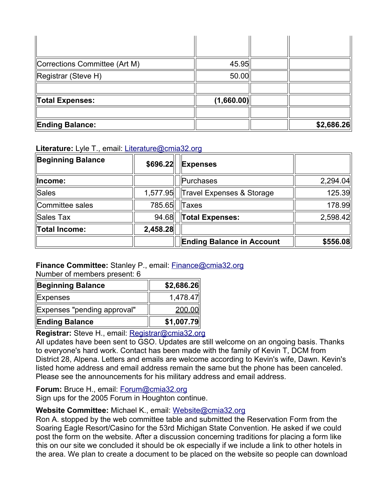| Corrections Committee (Art M) | 45.95      |            |
|-------------------------------|------------|------------|
| Registrar (Steve H)           | 50.00      |            |
|                               |            |            |
| Total Expenses:               | (1,660.00) |            |
|                               |            |            |
| <b>Ending Balance:</b>        |            | \$2,686.26 |

## **Literature:** Lyle T., email: [Literature@cmia32.org](mailto:Literature@cmia32.org)

| <b>Beginning Balance</b> | \$696.22 | <b>Expenses</b>                  |          |
|--------------------------|----------|----------------------------------|----------|
| Income:                  |          | Purchases                        | 2,294.04 |
| Sales                    | 1,577.95 | Travel Expenses & Storage        | 125.39   |
| Committee sales          | 785.65   | Taxes                            | 178.99   |
| Sales Tax                | 94.68    | Total Expenses:                  | 2,598.42 |
| Total Income:            | 2,458.28 |                                  |          |
|                          |          | <b>Ending Balance in Account</b> | \$556.08 |

# **Finance Committee:** Stanley P., email: [Finance@cmia32.org](mailto:Finance@cmia32.org)

Number of members present: 6

| Beginning Balance           | \$2,686.26 |
|-----------------------------|------------|
| <b>Expenses</b>             | 1,478.47   |
| Expenses "pending approval" | 200.00     |
| <b>Ending Balance</b>       | \$1,007.79 |

## **Registrar:** Steve H., email: [Registrar@cmia32.org](mailto:Registrar@cmia32.org)

All updates have been sent to GSO. Updates are still welcome on an ongoing basis. Thanks to everyone's hard work. Contact has been made with the family of Kevin T, DCM from District 28, Alpena. Letters and emails are welcome according to Kevin's wife, Dawn. Kevin's listed home address and email address remain the same but the phone has been canceled. Please see the announcements for his military address and email address.

**Forum:** Bruce H., email: [Forum@cmia32.org](mailto:Forum@cmia32.org) Sign ups for the 2005 Forum in Houghton continue.

# **Website Committee:** Michael K., email: [Website@cmia32.org](mailto:Website@cmia32.org)

Ron A. stopped by the web committee table and submitted the Reservation Form from the Soaring Eagle Resort/Casino for the 53rd Michigan State Convention. He asked if we could post the form on the website. After a discussion concerning traditions for placing a form like this on our site we concluded it should be ok especially if we include a link to other hotels in the area. We plan to create a document to be placed on the website so people can download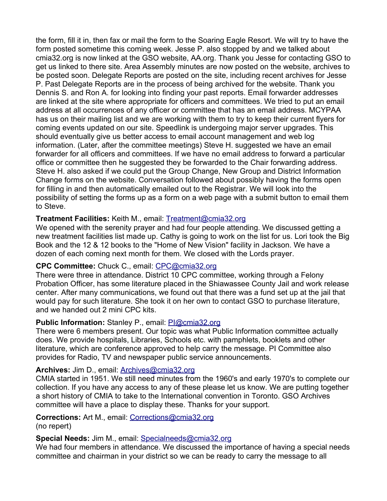the form, fill it in, then fax or mail the form to the Soaring Eagle Resort. We will try to have the form posted sometime this coming week. Jesse P. also stopped by and we talked about cmia32.org is now linked at the GSO website, AA.org. Thank you Jesse for contacting GSO to get us linked to there site. Area Assembly minutes are now posted on the website, archives to be posted soon. Delegate Reports are posted on the site, including recent archives for Jesse P. Past Delegate Reports are in the process of being archived for the website. Thank you Dennis S. and Ron A. for looking into finding your past reports. Email forwarder addresses are linked at the site where appropriate for officers and committees. We tried to put an email address at all occurrences of any officer or committee that has an email address. MCYPAA has us on their mailing list and we are working with them to try to keep their current flyers for coming events updated on our site. Speedlink is undergoing major server upgrades. This should eventually give us better access to email account management and web log information. (Later, after the committee meetings) Steve H. suggested we have an email forwarder for all officers and committees. If we have no email address to forward a particular office or committee then he suggested they be forwarded to the Chair forwarding address. Steve H. also asked if we could put the Group Change, New Group and District Information Change forms on the website. Conversation followed about possibly having the forms open for filling in and then automatically emailed out to the Registrar. We will look into the possibility of setting the forms up as a form on a web page with a submit button to email them to Steve.

## **Treatment Facilities:** Keith M., email: [Treatment@cmia32.org](mailto:Treatment@cmia32.org)

We opened with the serenity prayer and had four people attending. We discussed getting a new treatment facilities list made up. Cathy is going to work on the list for us. Lori took the Big Book and the 12 & 12 books to the "Home of New Vision" facility in Jackson. We have a dozen of each coming next month for them. We closed with the Lords prayer.

## **CPC Committee:** Chuck C., email: [CPC@cmia32.org](mailto:cpc@cmia32.org)

There were three in attendance. District 10 CPC committee, working through a Felony Probation Officer, has some literature placed in the Shiawassee County Jail and work release center. After many communications, we found out that there was a fund set up at the jail that would pay for such literature. She took it on her own to contact GSO to purchase literature, and we handed out 2 mini CPC kits.

## **Public Information:** Stanley P., email: [PI@cmia32.org](mailto:pi@cmia32.org)

There were 6 members present. Our topic was what Public Information committee actually does. We provide hospitals, Libraries, Schools etc. with pamphlets, booklets and other literature, which are conference approved to help carry the message. PI Committee also provides for Radio, TV and newspaper public service announcements.

## **Archives:** Jim D., email: [Archives@cmia32.org](mailto:Archives@cmia32.org)

CMIA started in 1951. We still need minutes from the 1960's and early 1970's to complete our collection. If you have any access to any of these please let us know. We are putting together a short history of CMIA to take to the International convention in Toronto. GSO Archives committee will have a place to display these. Thanks for your support.

# **Corrections:** Art M., email: [Corrections@cmia32.org](mailto:Corrections@cmia32.org)

(no repert)

## **Special Needs:** Jim M., email: [Specialneeds@cmia32.org](mailto:Specialneeds@cmia32.org)

We had four members in attendance. We discussed the importance of having a special needs committee and chairman in your district so we can be ready to carry the message to all